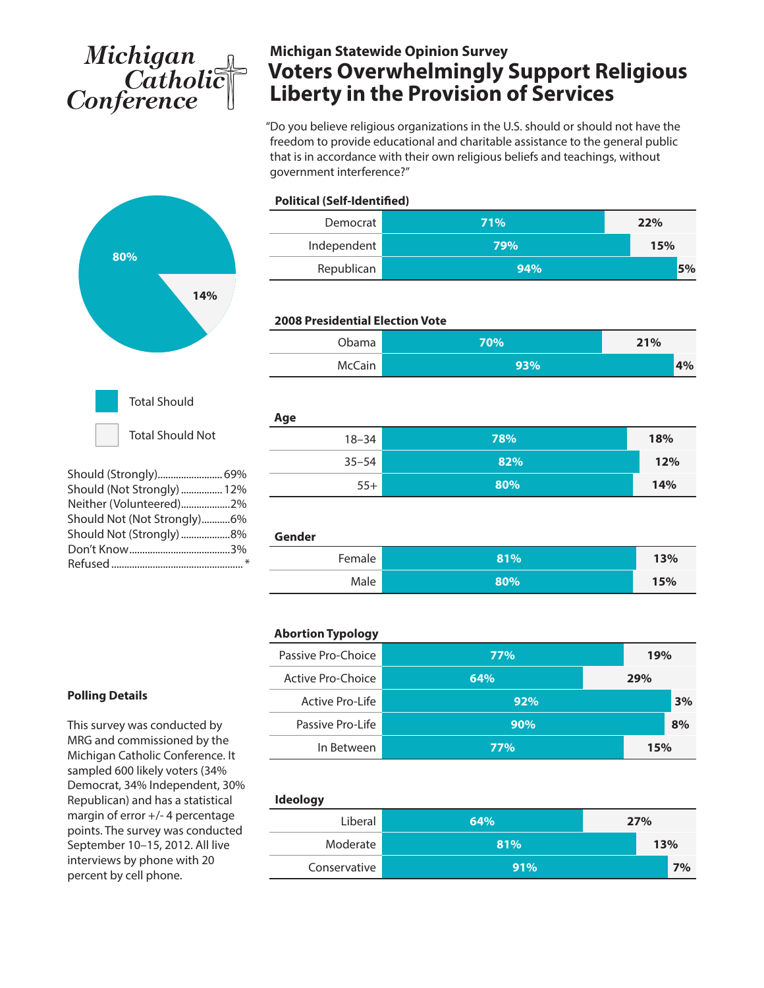# Michigan<br>Catholic<br>Conference

## **Michigan Statewide Opinion Survey Voters Overwhelmingly Support Religious Liberty in the Provision of Services**

"Do you believe religious organizations in the U.S. should or should not have the freedom to provide educational and charitable assistance to the general public that is in accordance with their own religious beliefs and teachings, without government interference?"



| Should (Not Strongly)  12%  |  |
|-----------------------------|--|
| Neither (Volunteered)2%     |  |
| Should Not (Not Strongly)6% |  |
| Should Not (Strongly) 8%    |  |
|                             |  |
|                             |  |
|                             |  |

| Democrat                               | 71% | 22% |
|----------------------------------------|-----|-----|
| Independent                            | 79% | 15% |
| Republican                             | 94% | 5%  |
|                                        |     |     |
| <b>2008 Presidential Election Vote</b> |     |     |
| Obama                                  | 70% | 21% |
| McCain                                 | 93% | 4%  |
|                                        |     |     |
| Age                                    |     |     |
| $18 - 34$                              | 78% | 18% |
| $35 - 54$                              | 82% | 12% |
| $55+$                                  | 80% | 14% |
|                                        |     |     |
| Gender                                 |     |     |
| Female                                 | 81% | 13% |
| Male                                   | 80% | 15% |

|  | <b>Abortion Typology</b> |  |
|--|--------------------------|--|
|  |                          |  |

**Political (Self-Identified)**

| Passive Pro-Choice | 77%        |  | 19% |    |
|--------------------|------------|--|-----|----|
| Active Pro-Choice  | 64%        |  | 29% |    |
| Active Pro-Life    | 92%        |  |     | 3% |
| Passive Pro-Life   | 90%        |  |     | 8% |
| In Between         | <b>77%</b> |  | 15% |    |

| <b>Ideology</b> |     |  |     |    |
|-----------------|-----|--|-----|----|
| Liberal         | 64% |  | 27% |    |
| Moderate        | 81% |  | 13% |    |
| Conservative    | 91% |  |     | 7% |

#### **Polling Details**

This survey was conducted by MRG and commissioned by the Michigan Catholic Conference. It sampled 600 likely voters (34% Democrat, 34% Independent, 30% Republican) and has a statistical margin of error +/- 4 percentage points. The survey was conducted September 10–15, 2012. All live interviews by phone with 20 percent by cell phone.